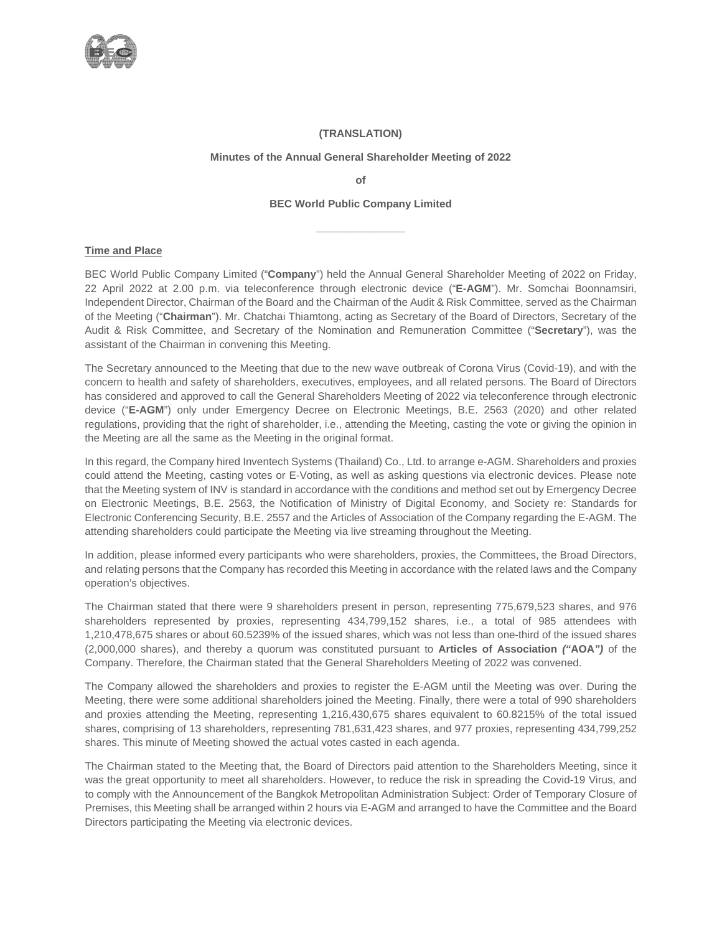

### **(TRANSLATION)**

### **Minutes of the Annual General Shareholder Meeting of 2022**

**of**

### **BEC World Public Company Limited**

**\_\_\_\_\_\_\_\_\_\_\_\_\_\_\_**

### **Time and Place**

BEC World Public Company Limited ("**Company**") held the Annual General Shareholder Meeting of 2022 on Friday, 22 April 2022 at 2.00 p.m. via teleconference through electronic device ("**E-AGM**"). Mr. Somchai Boonnamsiri, Independent Director, Chairman of the Board and the Chairman of the Audit & Risk Committee, served as the Chairman of the Meeting ("**Chairman**"). Mr. Chatchai Thiamtong, acting as Secretary of the Board of Directors, Secretary of the Audit & Risk Committee, and Secretary of the Nomination and Remuneration Committee ("**Secretary**"), was the assistant of the Chairman in convening this Meeting.

The Secretary announced to the Meeting that due to the new wave outbreak of Corona Virus (Covid-19), and with the concern to health and safety of shareholders, executives, employees, and all related persons. The Board of Directors has considered and approved to call the General Shareholders Meeting of 2022 via teleconference through electronic device ("**E-AGM**") only under Emergency Decree on Electronic Meetings, B.E. 2563 (2020) and other related regulations, providing that the right of shareholder, i.e., attending the Meeting, casting the vote or giving the opinion in the Meeting are all the same as the Meeting in the original format.

In this regard, the Company hired Inventech Systems (Thailand) Co., Ltd. to arrange e-AGM. Shareholders and proxies could attend the Meeting, casting votes or E-Voting, as well as asking questions via electronic devices. Please note that the Meeting system of INV is standard in accordance with the conditions and method set out by Emergency Decree on Electronic Meetings, B.E. 2563, the Notification of Ministry of Digital Economy, and Society re: Standards for Electronic Conferencing Security, B.E. 2557 and the Articles of Association of the Company regarding the E-AGM. The attending shareholders could participate the Meeting via live streaming throughout the Meeting.

In addition, please informed every participants who were shareholders, proxies, the Committees, the Broad Directors, and relating persons that the Company has recorded this Meeting in accordance with the related laws and the Company operation's objectives.

The Chairman stated that there were 9 shareholders present in person, representing 775,679,523 shares, and 976 shareholders represented by proxies, representing 434,799,152 shares, i.e., a total of 985 attendees with 1,210,478,675 shares or about 60.5239% of the issued shares, which was not less than one-third of the issued shares (2,000,000 shares), and thereby a quorum was constituted pursuant to **Articles of Association** *("***AOA***")* of the Company. Therefore, the Chairman stated that the General Shareholders Meeting of 2022 was convened.

The Company allowed the shareholders and proxies to register the E-AGM until the Meeting was over. During the Meeting, there were some additional shareholders joined the Meeting. Finally, there were a total of 990 shareholders and proxies attending the Meeting, representing 1,216,430,675 shares equivalent to 60.8215% of the total issued shares, comprising of 13 shareholders, representing 781,631,423 shares, and 977 proxies, representing 434,799,252 shares. This minute of Meeting showed the actual votes casted in each agenda.

The Chairman stated to the Meeting that, the Board of Directors paid attention to the Shareholders Meeting, since it was the great opportunity to meet all shareholders. However, to reduce the risk in spreading the Covid-19 Virus, and to comply with the Announcement of the Bangkok Metropolitan Administration Subject: Order of Temporary Closure of Premises, this Meeting shall be arranged within 2 hours via E-AGM and arranged to have the Committee and the Board Directors participating the Meeting via electronic devices.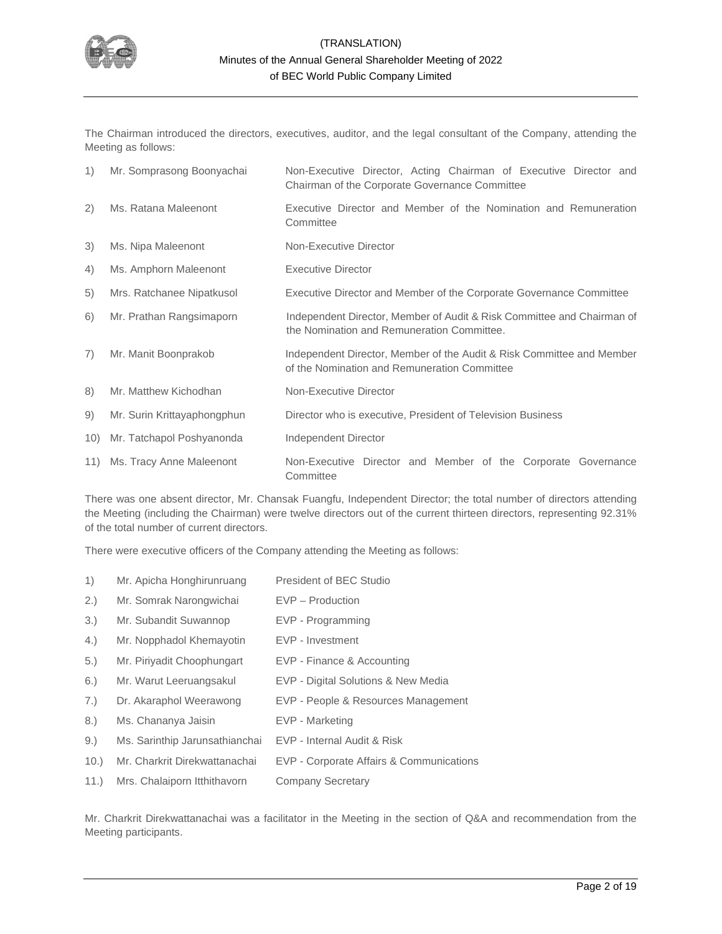

The Chairman introduced the directors, executives, auditor, and the legal consultant of the Company, attending the Meeting as follows:

| 1)  | Mr. Somprasong Boonyachai   | Non-Executive Director, Acting Chairman of Executive Director and<br>Chairman of the Corporate Governance Committee   |  |  |  |  |  |  |
|-----|-----------------------------|-----------------------------------------------------------------------------------------------------------------------|--|--|--|--|--|--|
| 2)  | Ms. Ratana Maleenont        | Executive Director and Member of the Nomination and Remuneration<br>Committee                                         |  |  |  |  |  |  |
| 3)  | Ms. Nipa Maleenont          | Non-Executive Director                                                                                                |  |  |  |  |  |  |
| 4)  | Ms. Amphorn Maleenont       | Executive Director                                                                                                    |  |  |  |  |  |  |
| 5)  | Mrs. Ratchanee Nipatkusol   | Executive Director and Member of the Corporate Governance Committee                                                   |  |  |  |  |  |  |
| 6)  | Mr. Prathan Rangsimaporn    | Independent Director, Member of Audit & Risk Committee and Chairman of<br>the Nomination and Remuneration Committee.  |  |  |  |  |  |  |
| 7)  | Mr. Manit Boonprakob        | Independent Director, Member of the Audit & Risk Committee and Member<br>of the Nomination and Remuneration Committee |  |  |  |  |  |  |
| 8)  | Mr. Matthew Kichodhan       | Non-Executive Director                                                                                                |  |  |  |  |  |  |
| 9)  | Mr. Surin Krittayaphongphun | Director who is executive, President of Television Business                                                           |  |  |  |  |  |  |
| 10) | Mr. Tatchapol Poshyanonda   | Independent Director                                                                                                  |  |  |  |  |  |  |
| 11) | Ms. Tracy Anne Maleenont    | Non-Executive Director and Member of the Corporate Governance<br>Committee                                            |  |  |  |  |  |  |

There was one absent director, Mr. Chansak Fuangfu, Independent Director; the total number of directors attending the Meeting (including the Chairman) were twelve directors out of the current thirteen directors, representing 92.31% of the total number of current directors.

There were executive officers of the Company attending the Meeting as follows:

- 1) Mr. Apicha Honghirunruang President of BEC Studio
- 2.) Mr. Somrak Narongwichai EVP Production
- 3.) Mr. Subandit Suwannop EVP Programming
- 4.) Mr. Nopphadol Khemayotin EVP Investment
- 5.) Mr. Piriyadit Choophungart EVP Finance & Accounting
- 6.) Mr. Warut Leeruangsakul EVP Digital Solutions & New Media
- 7.) Dr. Akaraphol Weerawong EVP People & Resources Management
- 8.) Ms. Chananya Jaisin EVP Marketing
- 9.) Ms. Sarinthip Jarunsathianchai EVP Internal Audit & Risk
- 10.) Mr. Charkrit Direkwattanachai EVP Corporate Affairs & Communications
- 11.) Mrs. Chalaiporn Itthithavorn Company Secretary

Mr. Charkrit Direkwattanachai was a facilitator in the Meeting in the section of Q&A and recommendation from the Meeting participants.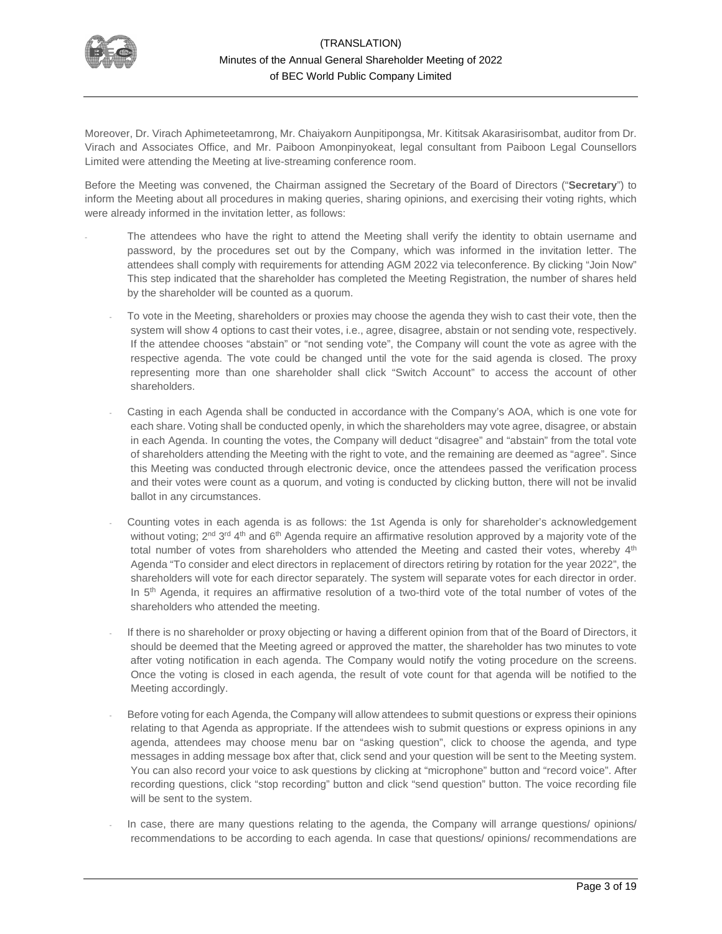

Moreover, Dr. Virach Aphimeteetamrong, Mr. Chaiyakorn Aunpitipongsa, Mr. Kititsak Akarasirisombat, auditor from Dr. Virach and Associates Office, and Mr. Paiboon Amonpinyokeat, legal consultant from Paiboon Legal Counsellors Limited were attending the Meeting at live-streaming conference room.

Before the Meeting was convened, the Chairman assigned the Secretary of the Board of Directors ("**Secretary**") to inform the Meeting about all procedures in making queries, sharing opinions, and exercising their voting rights, which were already informed in the invitation letter, as follows:

- The attendees who have the right to attend the Meeting shall verify the identity to obtain username and password, by the procedures set out by the Company, which was informed in the invitation letter. The attendees shall comply with requirements for attending AGM 2022 via teleconference. By clicking "Join Now" This step indicated that the shareholder has completed the Meeting Registration, the number of shares held by the shareholder will be counted as a quorum.
	- To vote in the Meeting, shareholders or proxies may choose the agenda they wish to cast their vote, then the system will show 4 options to cast their votes, i.e., agree, disagree, abstain or not sending vote, respectively. If the attendee chooses "abstain" or "not sending vote", the Company will count the vote as agree with the respective agenda. The vote could be changed until the vote for the said agenda is closed. The proxy representing more than one shareholder shall click "Switch Account" to access the account of other shareholders.
	- Casting in each Agenda shall be conducted in accordance with the Company's AOA, which is one vote for each share. Voting shall be conducted openly, in which the shareholders may vote agree, disagree, or abstain in each Agenda. In counting the votes, the Company will deduct "disagree" and "abstain" from the total vote of shareholders attending the Meeting with the right to vote, and the remaining are deemed as "agree". Since this Meeting was conducted through electronic device, once the attendees passed the verification process and their votes were count as a quorum, and voting is conducted by clicking button, there will not be invalid ballot in any circumstances.
	- Counting votes in each agenda is as follows: the 1st Agenda is only for shareholder's acknowledgement without voting; 2<sup>nd 3rd</sup> 4<sup>th</sup> and 6<sup>th</sup> Agenda require an affirmative resolution approved by a majority vote of the total number of votes from shareholders who attended the Meeting and casted their votes, whereby 4<sup>th</sup> Agenda "To consider and elect directors in replacement of directors retiring by rotation for the year 2022", the shareholders will vote for each director separately. The system will separate votes for each director in order. In 5<sup>th</sup> Agenda, it requires an affirmative resolution of a two-third vote of the total number of votes of the shareholders who attended the meeting.
	- If there is no shareholder or proxy objecting or having a different opinion from that of the Board of Directors, it should be deemed that the Meeting agreed or approved the matter, the shareholder has two minutes to vote after voting notification in each agenda. The Company would notify the voting procedure on the screens. Once the voting is closed in each agenda, the result of vote count for that agenda will be notified to the Meeting accordingly.
	- Before voting for each Agenda, the Company will allow attendees to submit questions or express their opinions relating to that Agenda as appropriate. If the attendees wish to submit questions or express opinions in any agenda, attendees may choose menu bar on "asking question", click to choose the agenda, and type messages in adding message box after that, click send and your question will be sent to the Meeting system. You can also record your voice to ask questions by clicking at "microphone" button and "record voice". After recording questions, click "stop recording" button and click "send question" button. The voice recording file will be sent to the system.
	- In case, there are many questions relating to the agenda, the Company will arrange questions/ opinions/ recommendations to be according to each agenda. In case that questions/ opinions/ recommendations are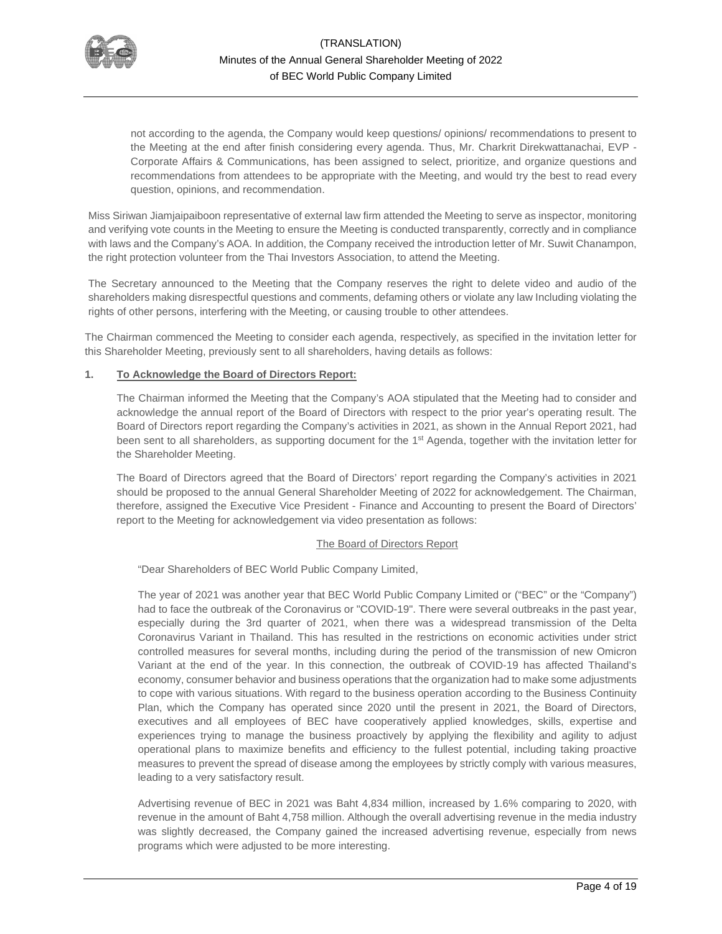

not according to the agenda, the Company would keep questions/ opinions/ recommendations to present to the Meeting at the end after finish considering every agenda. Thus, Mr. Charkrit Direkwattanachai, EVP - Corporate Affairs & Communications, has been assigned to select, prioritize, and organize questions and recommendations from attendees to be appropriate with the Meeting, and would try the best to read every question, opinions, and recommendation.

Miss Siriwan Jiamjaipaiboon representative of external law firm attended the Meeting to serve as inspector, monitoring and verifying vote counts in the Meeting to ensure the Meeting is conducted transparently, correctly and in compliance with laws and the Company's AOA. In addition, the Company received the introduction letter of Mr. Suwit Chanampon, the right protection volunteer from the Thai Investors Association, to attend the Meeting.

The Secretary announced to the Meeting that the Company reserves the right to delete video and audio of the shareholders making disrespectful questions and comments, defaming others or violate any law Including violating the rights of other persons, interfering with the Meeting, or causing trouble to other attendees.

The Chairman commenced the Meeting to consider each agenda, respectively, as specified in the invitation letter for this Shareholder Meeting, previously sent to all shareholders, having details as follows:

### **1. To Acknowledge the Board of Directors Report:**

The Chairman informed the Meeting that the Company's AOA stipulated that the Meeting had to consider and acknowledge the annual report of the Board of Directors with respect to the prior year's operating result. The Board of Directors report regarding the Company's activities in 2021, as shown in the Annual Report 2021, had been sent to all shareholders, as supporting document for the 1<sup>st</sup> Agenda, together with the invitation letter for the Shareholder Meeting.

The Board of Directors agreed that the Board of Directors' report regarding the Company's activities in 2021 should be proposed to the annual General Shareholder Meeting of 2022 for acknowledgement. The Chairman, therefore, assigned the Executive Vice President - Finance and Accounting to present the Board of Directors' report to the Meeting for acknowledgement via video presentation as follows:

### The Board of Directors Report

"Dear Shareholders of BEC World Public Company Limited,

The year of 2021 was another year that BEC World Public Company Limited or ("BEC" or the "Company") had to face the outbreak of the Coronavirus or "COVID-19". There were several outbreaks in the past year, especially during the 3rd quarter of 2021, when there was a widespread transmission of the Delta Coronavirus Variant in Thailand. This has resulted in the restrictions on economic activities under strict controlled measures for several months, including during the period of the transmission of new Omicron Variant at the end of the year. In this connection, the outbreak of COVID-19 has affected Thailand's economy, consumer behavior and business operations that the organization had to make some adjustments to cope with various situations. With regard to the business operation according to the Business Continuity Plan, which the Company has operated since 2020 until the present in 2021, the Board of Directors, executives and all employees of BEC have cooperatively applied knowledges, skills, expertise and experiences trying to manage the business proactively by applying the flexibility and agility to adjust operational plans to maximize benefits and efficiency to the fullest potential, including taking proactive measures to prevent the spread of disease among the employees by strictly comply with various measures, leading to a very satisfactory result.

Advertising revenue of BEC in 2021 was Baht 4,834 million, increased by 1.6% comparing to 2020, with revenue in the amount of Baht 4,758 million. Although the overall advertising revenue in the media industry was slightly decreased, the Company gained the increased advertising revenue, especially from news programs which were adjusted to be more interesting.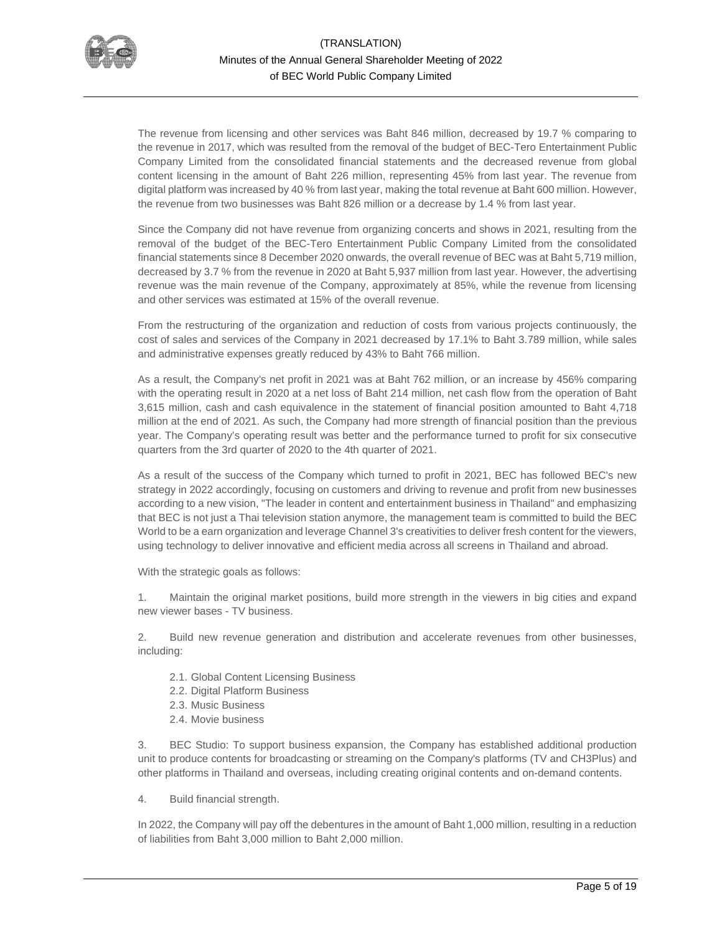

The revenue from licensing and other services was Baht 846 million, decreased by 19.7 % comparing to the revenue in 2017, which was resulted from the removal of the budget of BEC-Tero Entertainment Public Company Limited from the consolidated financial statements and the decreased revenue from global content licensing in the amount of Baht 226 million, representing 45% from last year. The revenue from digital platform was increased by 40 % from last year, making the total revenue at Baht 600 million. However, the revenue from two businesses was Baht 826 million or a decrease by 1.4 % from last year.

Since the Company did not have revenue from organizing concerts and shows in 2021, resulting from the removal of the budget of the BEC-Tero Entertainment Public Company Limited from the consolidated financial statements since 8 December 2020 onwards, the overall revenue of BEC was at Baht 5,719 million, decreased by 3.7 % from the revenue in 2020 at Baht 5,937 million from last year. However, the advertising revenue was the main revenue of the Company, approximately at 85%, while the revenue from licensing and other services was estimated at 15% of the overall revenue.

From the restructuring of the organization and reduction of costs from various projects continuously, the cost of sales and services of the Company in 2021 decreased by 17.1% to Baht 3.789 million, while sales and administrative expenses greatly reduced by 43% to Baht 766 million.

As a result, the Company's net profit in 2021 was at Baht 762 million, or an increase by 456% comparing with the operating result in 2020 at a net loss of Baht 214 million, net cash flow from the operation of Baht 3,615 million, cash and cash equivalence in the statement of financial position amounted to Baht 4,718 million at the end of 2021. As such, the Company had more strength of financial position than the previous year. The Company's operating result was better and the performance turned to profit for six consecutive quarters from the 3rd quarter of 2020 to the 4th quarter of 2021.

As a result of the success of the Company which turned to profit in 2021, BEC has followed BEC's new strategy in 2022 accordingly, focusing on customers and driving to revenue and profit from new businesses according to a new vision, "The leader in content and entertainment business in Thailand" and emphasizing that BEC is not just a Thai television station anymore, the management team is committed to build the BEC World to be a earn organization and leverage Channel 3's creativities to deliver fresh content for the viewers, using technology to deliver innovative and efficient media across all screens in Thailand and abroad.

With the strategic goals as follows:

1. Maintain the original market positions, build more strength in the viewers in big cities and expand new viewer bases - TV business.

2. Build new revenue generation and distribution and accelerate revenues from other businesses, including:

- 2.1. Global Content Licensing Business
- 2.2. Digital Platform Business
- 2.3. Music Business
- 2.4. Movie business

3. BEC Studio: To support business expansion, the Company has established additional production unit to produce contents for broadcasting or streaming on the Company's platforms (TV and CH3Plus) and other platforms in Thailand and overseas, including creating original contents and on-demand contents.

4. Build financial strength.

In 2022, the Company will pay off the debentures in the amount of Baht 1,000 million, resulting in a reduction of liabilities from Baht 3,000 million to Baht 2,000 million.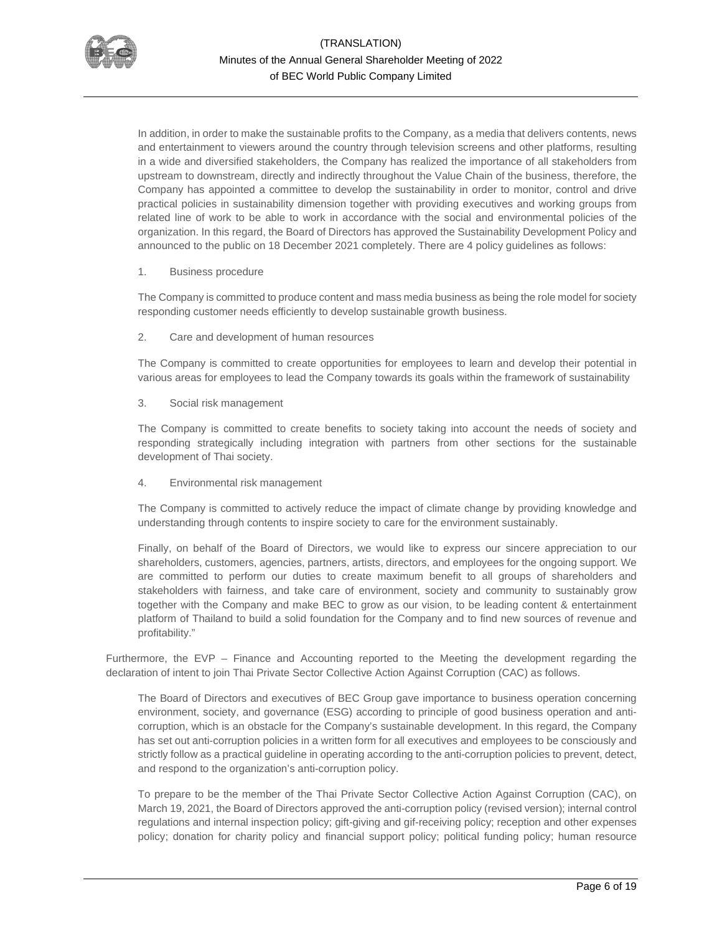

In addition, in order to make the sustainable profits to the Company, as a media that delivers contents, news and entertainment to viewers around the country through television screens and other platforms, resulting in a wide and diversified stakeholders, the Company has realized the importance of all stakeholders from upstream to downstream, directly and indirectly throughout the Value Chain of the business, therefore, the Company has appointed a committee to develop the sustainability in order to monitor, control and drive practical policies in sustainability dimension together with providing executives and working groups from related line of work to be able to work in accordance with the social and environmental policies of the organization. In this regard, the Board of Directors has approved the Sustainability Development Policy and announced to the public on 18 December 2021 completely. There are 4 policy guidelines as follows:

### 1. Business procedure

The Company is committed to produce content and mass media business as being the role model for society responding customer needs efficiently to develop sustainable growth business.

### 2. Care and development of human resources

The Company is committed to create opportunities for employees to learn and develop their potential in various areas for employees to lead the Company towards its goals within the framework of sustainability

### 3. Social risk management

The Company is committed to create benefits to society taking into account the needs of society and responding strategically including integration with partners from other sections for the sustainable development of Thai society.

# 4. Environmental risk management

The Company is committed to actively reduce the impact of climate change by providing knowledge and understanding through contents to inspire society to care for the environment sustainably.

Finally, on behalf of the Board of Directors, we would like to express our sincere appreciation to our shareholders, customers, agencies, partners, artists, directors, and employees for the ongoing support. We are committed to perform our duties to create maximum benefit to all groups of shareholders and stakeholders with fairness, and take care of environment, society and community to sustainably grow together with the Company and make BEC to grow as our vision, to be leading content & entertainment platform of Thailand to build a solid foundation for the Company and to find new sources of revenue and profitability."

Furthermore, the EVP – Finance and Accounting reported to the Meeting the development regarding the declaration of intent to join Thai Private Sector Collective Action Against Corruption (CAC) as follows.

The Board of Directors and executives of BEC Group gave importance to business operation concerning environment, society, and governance (ESG) according to principle of good business operation and anticorruption, which is an obstacle for the Company's sustainable development. In this regard, the Company has set out anti-corruption policies in a written form for all executives and employees to be consciously and strictly follow as a practical guideline in operating according to the anti-corruption policies to prevent, detect, and respond to the organization's anti-corruption policy.

To prepare to be the member of the Thai Private Sector Collective Action Against Corruption (CAC), on March 19, 2021, the Board of Directors approved the anti-corruption policy (revised version); internal control regulations and internal inspection policy; gift-giving and gif-receiving policy; reception and other expenses policy; donation for charity policy and financial support policy; political funding policy; human resource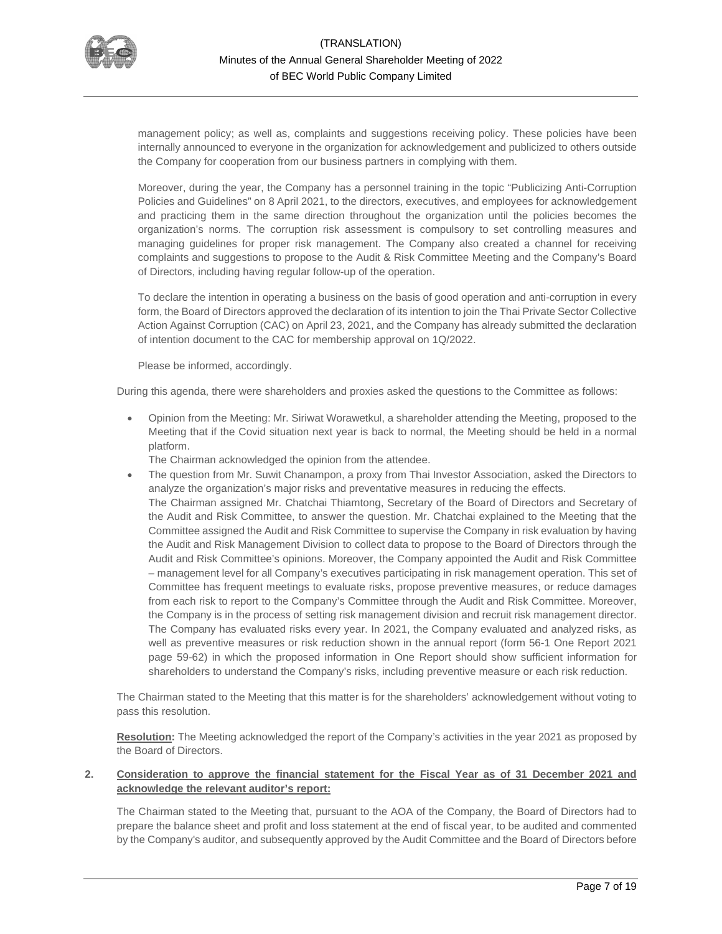

management policy; as well as, complaints and suggestions receiving policy. These policies have been internally announced to everyone in the organization for acknowledgement and publicized to others outside the Company for cooperation from our business partners in complying with them.

Moreover, during the year, the Company has a personnel training in the topic "Publicizing Anti-Corruption Policies and Guidelines" on 8 April 2021, to the directors, executives, and employees for acknowledgement and practicing them in the same direction throughout the organization until the policies becomes the organization's norms. The corruption risk assessment is compulsory to set controlling measures and managing guidelines for proper risk management. The Company also created a channel for receiving complaints and suggestions to propose to the Audit & Risk Committee Meeting and the Company's Board of Directors, including having regular follow-up of the operation.

To declare the intention in operating a business on the basis of good operation and anti-corruption in every form, the Board of Directors approved the declaration of its intention to join the Thai Private Sector Collective Action Against Corruption (CAC) on April 23, 2021, and the Company has already submitted the declaration of intention document to the CAC for membership approval on 1Q/2022.

Please be informed, accordingly.

During this agenda, there were shareholders and proxies asked the questions to the Committee as follows:

• Opinion from the Meeting: Mr. Siriwat Worawetkul, a shareholder attending the Meeting, proposed to the Meeting that if the Covid situation next year is back to normal, the Meeting should be held in a normal platform.

The Chairman acknowledged the opinion from the attendee.

• The question from Mr. Suwit Chanampon, a proxy from Thai Investor Association, asked the Directors to analyze the organization's major risks and preventative measures in reducing the effects. The Chairman assigned Mr. Chatchai Thiamtong, Secretary of the Board of Directors and Secretary of the Audit and Risk Committee, to answer the question. Mr. Chatchai explained to the Meeting that the Committee assigned the Audit and Risk Committee to supervise the Company in risk evaluation by having the Audit and Risk Management Division to collect data to propose to the Board of Directors through the Audit and Risk Committee's opinions. Moreover, the Company appointed the Audit and Risk Committee – management level for all Company's executives participating in risk management operation. This set of Committee has frequent meetings to evaluate risks, propose preventive measures, or reduce damages from each risk to report to the Company's Committee through the Audit and Risk Committee. Moreover, the Company is in the process of setting risk management division and recruit risk management director. The Company has evaluated risks every year. In 2021, the Company evaluated and analyzed risks, as well as preventive measures or risk reduction shown in the annual report (form 56-1 One Report 2021 page 59-62) in which the proposed information in One Report should show sufficient information for shareholders to understand the Company's risks, including preventive measure or each risk reduction.

The Chairman stated to the Meeting that this matter is for the shareholders' acknowledgement without voting to pass this resolution.

**Resolution:** The Meeting acknowledged the report of the Company's activities in the year 2021 as proposed by the Board of Directors.

## **2. Consideration to approve the financial statement for the Fiscal Year as of 31 December 2021 and acknowledge the relevant auditor's report:**

The Chairman stated to the Meeting that, pursuant to the AOA of the Company, the Board of Directors had to prepare the balance sheet and profit and loss statement at the end of fiscal year, to be audited and commented by the Company's auditor, and subsequently approved by the Audit Committee and the Board of Directors before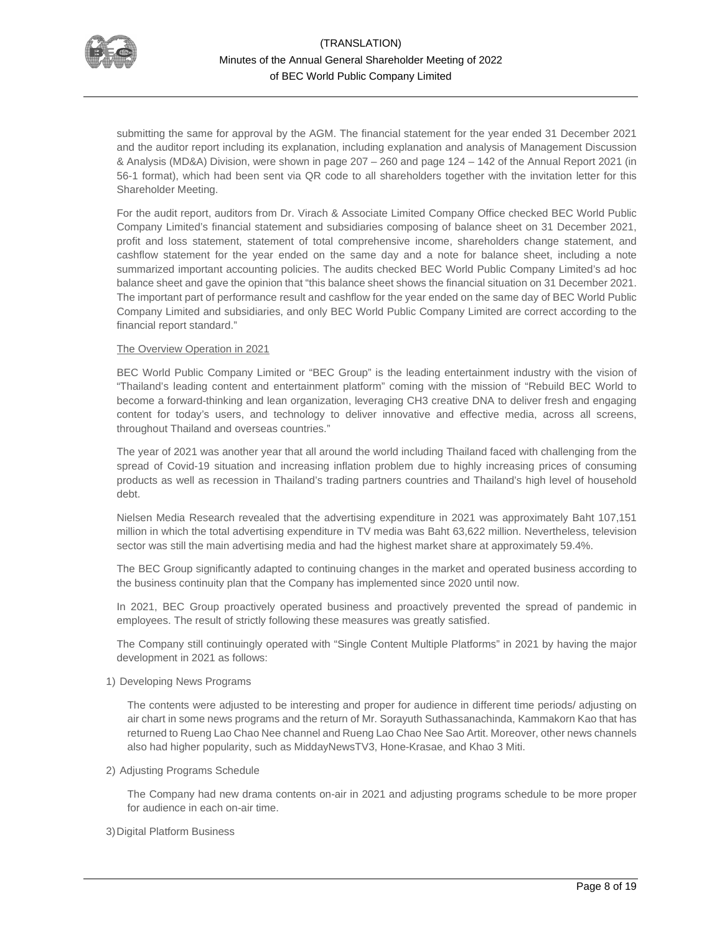

submitting the same for approval by the AGM. The financial statement for the year ended 31 December 2021 and the auditor report including its explanation, including explanation and analysis of Management Discussion & Analysis (MD&A) Division, were shown in page 207 – 260 and page 124 – 142 of the Annual Report 2021 (in 56-1 format), which had been sent via QR code to all shareholders together with the invitation letter for this Shareholder Meeting.

For the audit report, auditors from Dr. Virach & Associate Limited Company Office checked BEC World Public Company Limited's financial statement and subsidiaries composing of balance sheet on 31 December 2021, profit and loss statement, statement of total comprehensive income, shareholders change statement, and cashflow statement for the year ended on the same day and a note for balance sheet, including a note summarized important accounting policies. The audits checked BEC World Public Company Limited's ad hoc balance sheet and gave the opinion that "this balance sheet shows the financial situation on 31 December 2021. The important part of performance result and cashflow for the year ended on the same day of BEC World Public Company Limited and subsidiaries, and only BEC World Public Company Limited are correct according to the financial report standard."

### The Overview Operation in 2021

BEC World Public Company Limited or "BEC Group" is the leading entertainment industry with the vision of "Thailand's leading content and entertainment platform" coming with the mission of "Rebuild BEC World to become a forward-thinking and lean organization, leveraging CH3 creative DNA to deliver fresh and engaging content for today's users, and technology to deliver innovative and effective media, across all screens, throughout Thailand and overseas countries."

The year of 2021 was another year that all around the world including Thailand faced with challenging from the spread of Covid-19 situation and increasing inflation problem due to highly increasing prices of consuming products as well as recession in Thailand's trading partners countries and Thailand's high level of household debt.

Nielsen Media Research revealed that the advertising expenditure in 2021 was approximately Baht 107,151 million in which the total advertising expenditure in TV media was Baht 63,622 million. Nevertheless, television sector was still the main advertising media and had the highest market share at approximately 59.4%.

The BEC Group significantly adapted to continuing changes in the market and operated business according to the business continuity plan that the Company has implemented since 2020 until now.

In 2021, BEC Group proactively operated business and proactively prevented the spread of pandemic in employees. The result of strictly following these measures was greatly satisfied.

The Company still continuingly operated with "Single Content Multiple Platforms" in 2021 by having the major development in 2021 as follows:

1) Developing News Programs

The contents were adjusted to be interesting and proper for audience in different time periods/ adjusting on air chart in some news programs and the return of Mr. Sorayuth Suthassanachinda, Kammakorn Kao that has returned to Rueng Lao Chao Nee channel and Rueng Lao Chao Nee Sao Artit. Moreover, other news channels also had higher popularity, such as MiddayNewsTV3, Hone-Krasae, and Khao 3 Miti.

#### 2) Adjusting Programs Schedule

The Company had new drama contents on-air in 2021 and adjusting programs schedule to be more proper for audience in each on-air time.

#### 3)Digital Platform Business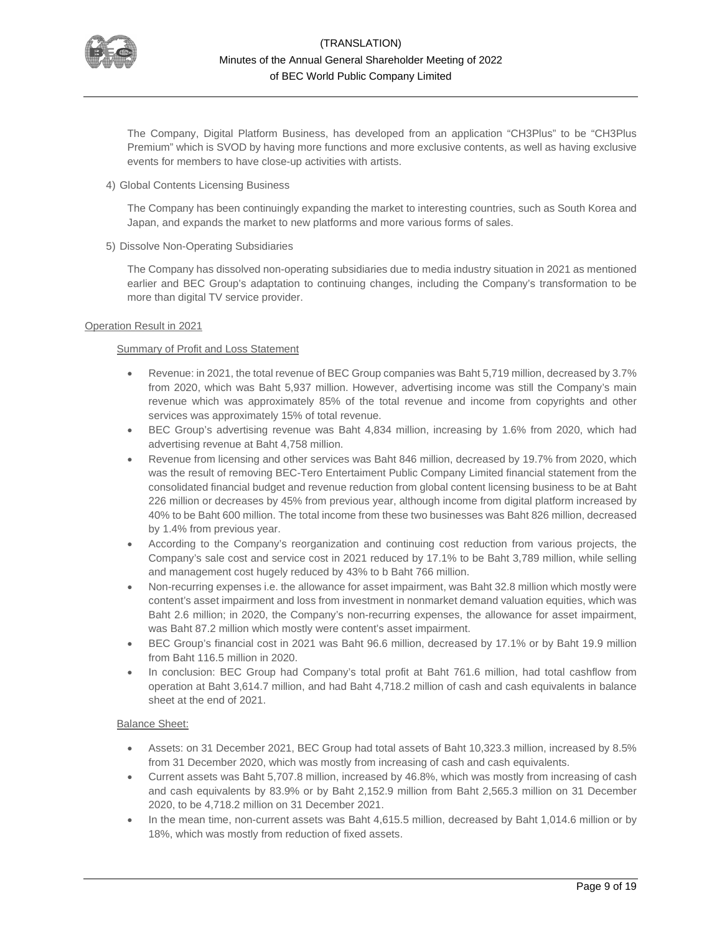

The Company, Digital Platform Business, has developed from an application "CH3Plus" to be "CH3Plus Premium" which is SVOD by having more functions and more exclusive contents, as well as having exclusive events for members to have close-up activities with artists.

4) Global Contents Licensing Business

The Company has been continuingly expanding the market to interesting countries, such as South Korea and Japan, and expands the market to new platforms and more various forms of sales.

5) Dissolve Non-Operating Subsidiaries

The Company has dissolved non-operating subsidiaries due to media industry situation in 2021 as mentioned earlier and BEC Group's adaptation to continuing changes, including the Company's transformation to be more than digital TV service provider.

### Operation Result in 2021

## **Summary of Profit and Loss Statement**

- Revenue: in 2021, the total revenue of BEC Group companies was Baht 5,719 million, decreased by 3.7% from 2020, which was Baht 5,937 million. However, advertising income was still the Company's main revenue which was approximately 85% of the total revenue and income from copyrights and other services was approximately 15% of total revenue.
- BEC Group's advertising revenue was Baht 4,834 million, increasing by 1.6% from 2020, which had advertising revenue at Baht 4,758 million.
- Revenue from licensing and other services was Baht 846 million, decreased by 19.7% from 2020, which was the result of removing BEC-Tero Entertaiment Public Company Limited financial statement from the consolidated financial budget and revenue reduction from global content licensing business to be at Baht 226 million or decreases by 45% from previous year, although income from digital platform increased by 40% to be Baht 600 million. The total income from these two businesses was Baht 826 million, decreased by 1.4% from previous year.
- According to the Company's reorganization and continuing cost reduction from various projects, the Company's sale cost and service cost in 2021 reduced by 17.1% to be Baht 3,789 million, while selling and management cost hugely reduced by 43% to b Baht 766 million.
- Non-recurring expenses i.e. the allowance for asset impairment, was Baht 32.8 million which mostly were content's asset impairment and loss from investment in nonmarket demand valuation equities, which was Baht 2.6 million; in 2020, the Company's non-recurring expenses, the allowance for asset impairment, was Baht 87.2 million which mostly were content's asset impairment.
- BEC Group's financial cost in 2021 was Baht 96.6 million, decreased by 17.1% or by Baht 19.9 million from Baht 116.5 million in 2020.
- In conclusion: BEC Group had Company's total profit at Baht 761.6 million, had total cashflow from operation at Baht 3,614.7 million, and had Baht 4,718.2 million of cash and cash equivalents in balance sheet at the end of 2021.

### Balance Sheet:

- Assets: on 31 December 2021, BEC Group had total assets of Baht 10,323.3 million, increased by 8.5% from 31 December 2020, which was mostly from increasing of cash and cash equivalents.
- Current assets was Baht 5,707.8 million, increased by 46.8%, which was mostly from increasing of cash and cash equivalents by 83.9% or by Baht 2,152.9 million from Baht 2,565.3 million on 31 December 2020, to be 4,718.2 million on 31 December 2021.
- In the mean time, non-current assets was Baht 4,615.5 million, decreased by Baht 1,014.6 million or by 18%, which was mostly from reduction of fixed assets.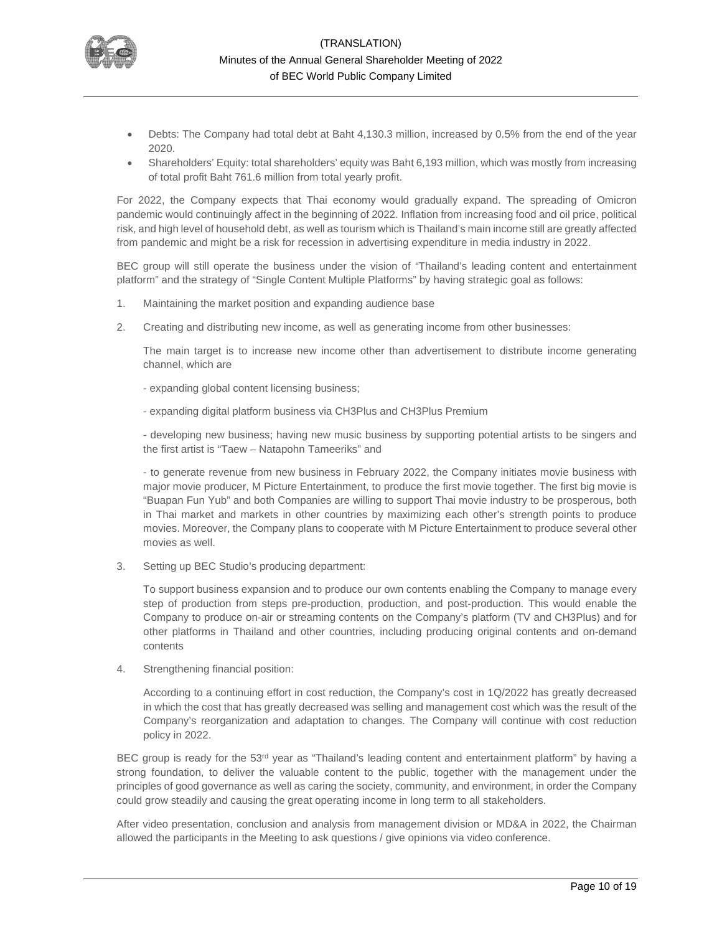

- Debts: The Company had total debt at Baht 4,130.3 million, increased by 0.5% from the end of the year 2020.
- Shareholders' Equity: total shareholders' equity was Baht 6,193 million, which was mostly from increasing of total profit Baht 761.6 million from total yearly profit.

For 2022, the Company expects that Thai economy would gradually expand. The spreading of Omicron pandemic would continuingly affect in the beginning of 2022. Inflation from increasing food and oil price, political risk, and high level of household debt, as well as tourism which is Thailand's main income still are greatly affected from pandemic and might be a risk for recession in advertising expenditure in media industry in 2022.

BEC group will still operate the business under the vision of "Thailand's leading content and entertainment platform" and the strategy of "Single Content Multiple Platforms" by having strategic goal as follows:

- 1. Maintaining the market position and expanding audience base
- 2. Creating and distributing new income, as well as generating income from other businesses:

The main target is to increase new income other than advertisement to distribute income generating channel, which are

- expanding global content licensing business;
- expanding digital platform business via CH3Plus and CH3Plus Premium

- developing new business; having new music business by supporting potential artists to be singers and the first artist is "Taew – Natapohn Tameeriks" and

- to generate revenue from new business in February 2022, the Company initiates movie business with major movie producer, M Picture Entertainment, to produce the first movie together. The first big movie is "Buapan Fun Yub" and both Companies are willing to support Thai movie industry to be prosperous, both in Thai market and markets in other countries by maximizing each other's strength points to produce movies. Moreover, the Company plans to cooperate with M Picture Entertainment to produce several other movies as well.

3. Setting up BEC Studio's producing department:

To support business expansion and to produce our own contents enabling the Company to manage every step of production from steps pre-production, production, and post-production. This would enable the Company to produce on-air or streaming contents on the Company's platform (TV and CH3Plus) and for other platforms in Thailand and other countries, including producing original contents and on-demand contents

4. Strengthening financial position:

According to a continuing effort in cost reduction, the Company's cost in 1Q/2022 has greatly decreased in which the cost that has greatly decreased was selling and management cost which was the result of the Company's reorganization and adaptation to changes. The Company will continue with cost reduction policy in 2022.

BEC group is ready for the 53rd year as "Thailand's leading content and entertainment platform" by having a strong foundation, to deliver the valuable content to the public, together with the management under the principles of good governance as well as caring the society, community, and environment, in order the Company could grow steadily and causing the great operating income in long term to all stakeholders.

After video presentation, conclusion and analysis from management division or MD&A in 2022, the Chairman allowed the participants in the Meeting to ask questions / give opinions via video conference.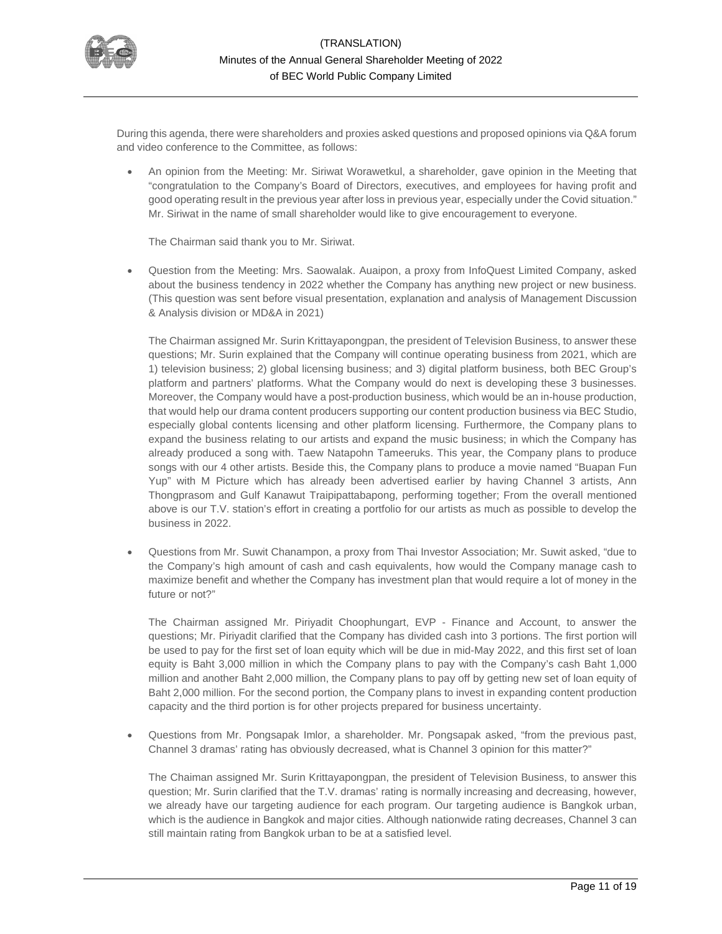

During this agenda, there were shareholders and proxies asked questions and proposed opinions via Q&A forum and video conference to the Committee, as follows:

• An opinion from the Meeting: Mr. Siriwat Worawetkul, a shareholder, gave opinion in the Meeting that "congratulation to the Company's Board of Directors, executives, and employees for having profit and good operating result in the previous year after loss in previous year, especially under the Covid situation." Mr. Siriwat in the name of small shareholder would like to give encouragement to everyone.

The Chairman said thank you to Mr. Siriwat.

• Question from the Meeting: Mrs. Saowalak. Auaipon, a proxy from InfoQuest Limited Company, asked about the business tendency in 2022 whether the Company has anything new project or new business. (This question was sent before visual presentation, explanation and analysis of Management Discussion & Analysis division or MD&A in 2021)

The Chairman assigned Mr. Surin Krittayapongpan, the president of Television Business, to answer these questions; Mr. Surin explained that the Company will continue operating business from 2021, which are 1) television business; 2) global licensing business; and 3) digital platform business, both BEC Group's platform and partners' platforms. What the Company would do next is developing these 3 businesses. Moreover, the Company would have a post-production business, which would be an in-house production, that would help our drama content producers supporting our content production business via BEC Studio, especially global contents licensing and other platform licensing. Furthermore, the Company plans to expand the business relating to our artists and expand the music business; in which the Company has already produced a song with. Taew Natapohn Tameeruks. This year, the Company plans to produce songs with our 4 other artists. Beside this, the Company plans to produce a movie named "Buapan Fun Yup" with M Picture which has already been advertised earlier by having Channel 3 artists, Ann Thongprasom and Gulf Kanawut Traipipattabapong, performing together; From the overall mentioned above is our T.V. station's effort in creating a portfolio for our artists as much as possible to develop the business in 2022.

• Questions from Mr. Suwit Chanampon, a proxy from Thai Investor Association; Mr. Suwit asked, "due to the Company's high amount of cash and cash equivalents, how would the Company manage cash to maximize benefit and whether the Company has investment plan that would require a lot of money in the future or not?"

The Chairman assigned Mr. Piriyadit Choophungart, EVP - Finance and Account, to answer the questions; Mr. Piriyadit clarified that the Company has divided cash into 3 portions. The first portion will be used to pay for the first set of loan equity which will be due in mid-May 2022, and this first set of loan equity is Baht 3,000 million in which the Company plans to pay with the Company's cash Baht 1,000 million and another Baht 2,000 million, the Company plans to pay off by getting new set of loan equity of Baht 2,000 million. For the second portion, the Company plans to invest in expanding content production capacity and the third portion is for other projects prepared for business uncertainty.

• Questions from Mr. Pongsapak Imlor, a shareholder. Mr. Pongsapak asked, "from the previous past, Channel 3 dramas' rating has obviously decreased, what is Channel 3 opinion for this matter?"

The Chaiman assigned Mr. Surin Krittayapongpan, the president of Television Business, to answer this question; Mr. Surin clarified that the T.V. dramas' rating is normally increasing and decreasing, however, we already have our targeting audience for each program. Our targeting audience is Bangkok urban, which is the audience in Bangkok and major cities. Although nationwide rating decreases, Channel 3 can still maintain rating from Bangkok urban to be at a satisfied level.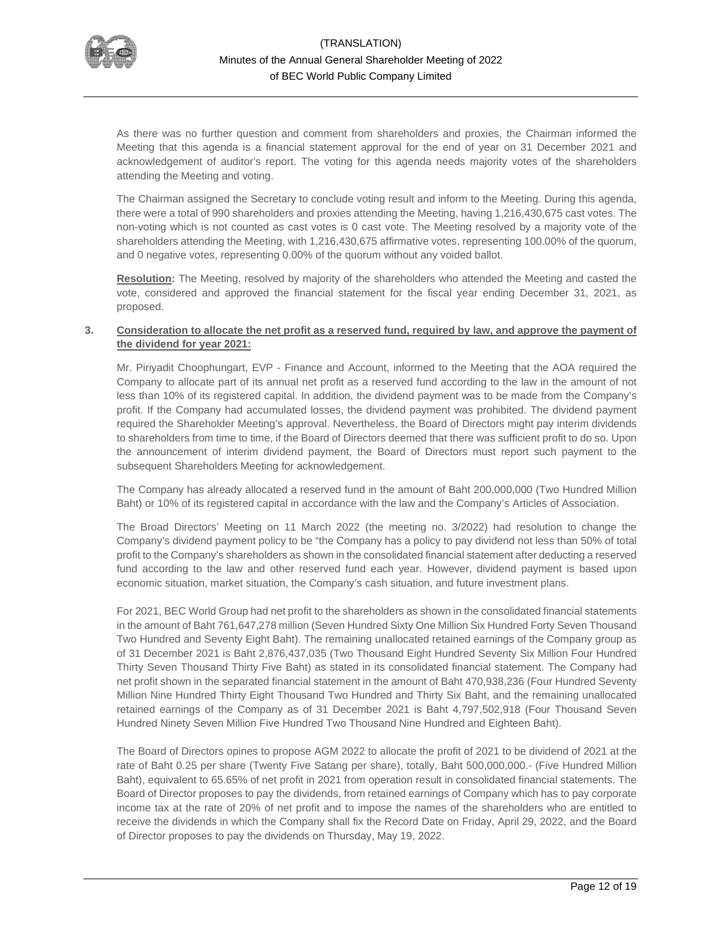

As there was no further question and comment from shareholders and proxies, the Chairman informed the Meeting that this agenda is a financial statement approval for the end of year on 31 December 2021 and acknowledgement of auditor's report. The voting for this agenda needs majority votes of the shareholders attending the Meeting and voting.

The Chairman assigned the Secretary to conclude voting result and inform to the Meeting. During this agenda, there were a total of 990 shareholders and proxies attending the Meeting, having 1,216,430,675 cast votes. The non-voting which is not counted as cast votes is 0 cast vote. The Meeting resolved by a majority vote of the shareholders attending the Meeting, with 1,216,430,675 affirmative votes, representing 100.00% of the quorum, and 0 negative votes, representing 0.00% of the quorum without any voided ballot.

**Resolution:** The Meeting, resolved by majority of the shareholders who attended the Meeting and casted the vote, considered and approved the financial statement for the fiscal year ending December 31, 2021, as proposed.

### **3. Consideration to allocate the net profit as a reserved fund, required by law, and approve the payment of the dividend for year 2021:**

Mr. Piriyadit Choophungart, EVP - Finance and Account, informed to the Meeting that the AOA required the Company to allocate part of its annual net profit as a reserved fund according to the law in the amount of not less than 10% of its registered capital. In addition, the dividend payment was to be made from the Company's profit. If the Company had accumulated losses, the dividend payment was prohibited. The dividend payment required the Shareholder Meeting's approval. Nevertheless, the Board of Directors might pay interim dividends to shareholders from time to time, if the Board of Directors deemed that there was sufficient profit to do so. Upon the announcement of interim dividend payment, the Board of Directors must report such payment to the subsequent Shareholders Meeting for acknowledgement.

The Company has already allocated a reserved fund in the amount of Baht 200,000,000 (Two Hundred Million Baht) or 10% of its registered capital in accordance with the law and the Company's Articles of Association.

The Broad Directors' Meeting on 11 March 2022 (the meeting no. 3/2022) had resolution to change the Company's dividend payment policy to be "the Company has a policy to pay dividend not less than 50% of total profit to the Company's shareholders as shown in the consolidated financial statement after deducting a reserved fund according to the law and other reserved fund each year. However, dividend payment is based upon economic situation, market situation, the Company's cash situation, and future investment plans.

For 2021, BEC World Group had net profit to the shareholders as shown in the consolidated financial statements in the amount of Baht 761,647,278 million (Seven Hundred Sixty One Million Six Hundred Forty Seven Thousand Two Hundred and Seventy Eight Baht). The remaining unallocated retained earnings of the Company group as of 31 December 2021 is Baht 2,876,437,035 (Two Thousand Eight Hundred Seventy Six Million Four Hundred Thirty Seven Thousand Thirty Five Baht) as stated in its consolidated financial statement. The Company had net profit shown in the separated financial statement in the amount of Baht 470,938,236 (Four Hundred Seventy Million Nine Hundred Thirty Eight Thousand Two Hundred and Thirty Six Baht, and the remaining unallocated retained earnings of the Company as of 31 December 2021 is Baht 4,797,502,918 (Four Thousand Seven Hundred Ninety Seven Million Five Hundred Two Thousand Nine Hundred and Eighteen Baht).

The Board of Directors opines to propose AGM 2022 to allocate the profit of 2021 to be dividend of 2021 at the rate of Baht 0.25 per share (Twenty Five Satang per share), totally, Baht 500,000,000.- (Five Hundred Million Baht), equivalent to 65.65% of net profit in 2021 from operation result in consolidated financial statements. The Board of Director proposes to pay the dividends, from retained earnings of Company which has to pay corporate income tax at the rate of 20% of net profit and to impose the names of the shareholders who are entitled to receive the dividends in which the Company shall fix the Record Date on Friday, April 29, 2022, and the Board of Director proposes to pay the dividends on Thursday, May 19, 2022.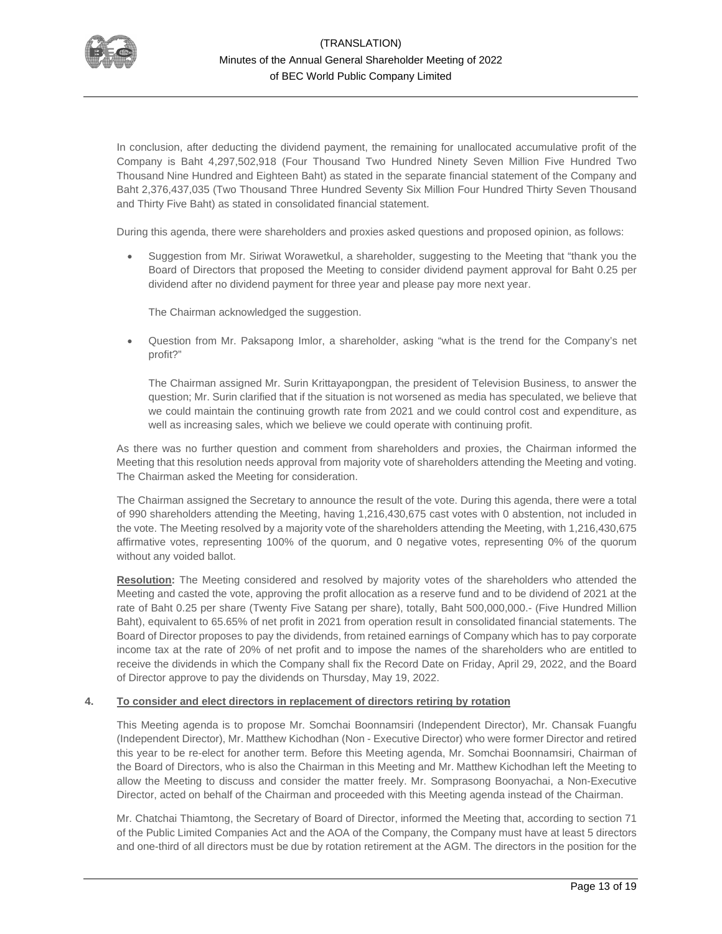

In conclusion, after deducting the dividend payment, the remaining for unallocated accumulative profit of the Company is Baht 4,297,502,918 (Four Thousand Two Hundred Ninety Seven Million Five Hundred Two Thousand Nine Hundred and Eighteen Baht) as stated in the separate financial statement of the Company and Baht 2,376,437,035 (Two Thousand Three Hundred Seventy Six Million Four Hundred Thirty Seven Thousand and Thirty Five Baht) as stated in consolidated financial statement.

During this agenda, there were shareholders and proxies asked questions and proposed opinion, as follows:

• Suggestion from Mr. Siriwat Worawetkul, a shareholder, suggesting to the Meeting that "thank you the Board of Directors that proposed the Meeting to consider dividend payment approval for Baht 0.25 per dividend after no dividend payment for three year and please pay more next year.

The Chairman acknowledged the suggestion.

• Question from Mr. Paksapong Imlor, a shareholder, asking "what is the trend for the Company's net profit?"

The Chairman assigned Mr. Surin Krittayapongpan, the president of Television Business, to answer the question; Mr. Surin clarified that if the situation is not worsened as media has speculated, we believe that we could maintain the continuing growth rate from 2021 and we could control cost and expenditure, as well as increasing sales, which we believe we could operate with continuing profit.

As there was no further question and comment from shareholders and proxies, the Chairman informed the Meeting that this resolution needs approval from majority vote of shareholders attending the Meeting and voting. The Chairman asked the Meeting for consideration.

The Chairman assigned the Secretary to announce the result of the vote. During this agenda, there were a total of 990 shareholders attending the Meeting, having 1,216,430,675 cast votes with 0 abstention, not included in the vote. The Meeting resolved by a majority vote of the shareholders attending the Meeting, with 1,216,430,675 affirmative votes, representing 100% of the quorum, and 0 negative votes, representing 0% of the quorum without any voided ballot.

**Resolution:** The Meeting considered and resolved by majority votes of the shareholders who attended the Meeting and casted the vote, approving the profit allocation as a reserve fund and to be dividend of 2021 at the rate of Baht 0.25 per share (Twenty Five Satang per share), totally, Baht 500,000,000.- (Five Hundred Million Baht), equivalent to 65.65% of net profit in 2021 from operation result in consolidated financial statements. The Board of Director proposes to pay the dividends, from retained earnings of Company which has to pay corporate income tax at the rate of 20% of net profit and to impose the names of the shareholders who are entitled to receive the dividends in which the Company shall fix the Record Date on Friday, April 29, 2022, and the Board of Director approve to pay the dividends on Thursday, May 19, 2022.

### **4. To consider and elect directors in replacement of directors retiring by rotation**

This Meeting agenda is to propose Mr. Somchai Boonnamsiri (Independent Director), Mr. Chansak Fuangfu (Independent Director), Mr. Matthew Kichodhan (Non - Executive Director) who were former Director and retired this year to be re-elect for another term. Before this Meeting agenda, Mr. Somchai Boonnamsiri, Chairman of the Board of Directors, who is also the Chairman in this Meeting and Mr. Matthew Kichodhan left the Meeting to allow the Meeting to discuss and consider the matter freely. Mr. Somprasong Boonyachai, a Non-Executive Director, acted on behalf of the Chairman and proceeded with this Meeting agenda instead of the Chairman.

Mr. Chatchai Thiamtong, the Secretary of Board of Director, informed the Meeting that, according to section 71 of the Public Limited Companies Act and the AOA of the Company, the Company must have at least 5 directors and one-third of all directors must be due by rotation retirement at the AGM. The directors in the position for the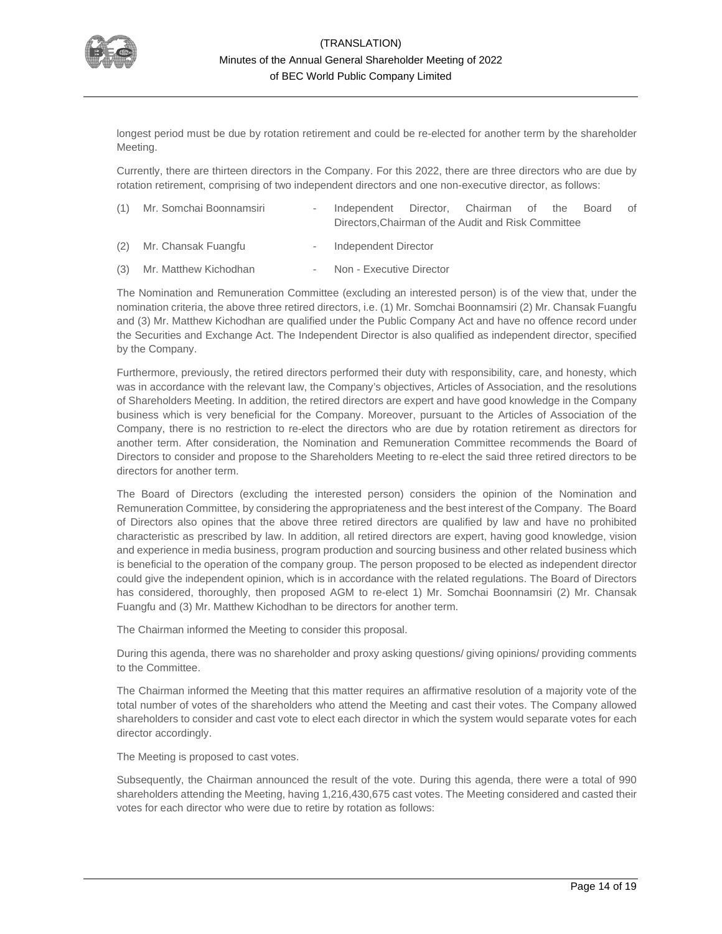

longest period must be due by rotation retirement and could be re-elected for another term by the shareholder Meeting.

Currently, there are thirteen directors in the Company. For this 2022, there are three directors who are due by rotation retirement, comprising of two independent directors and one non-executive director, as follows:

| (1) Mr. Somchai Boonnamsiri | Independent Director, Chairman of the Board of |                                                     |  |  |  |  |
|-----------------------------|------------------------------------------------|-----------------------------------------------------|--|--|--|--|
|                             |                                                | Directors, Chairman of the Audit and Risk Committee |  |  |  |  |
|                             |                                                |                                                     |  |  |  |  |

- (2) Mr. Chansak Fuangfu Independent Director
- (3) Mr. Matthew Kichodhan Non Executive Director

The Nomination and Remuneration Committee (excluding an interested person) is of the view that, under the nomination criteria, the above three retired directors, i.e. (1) Mr. Somchai Boonnamsiri (2) Mr. Chansak Fuangfu and (3) Mr. Matthew Kichodhan are qualified under the Public Company Act and have no offence record under the Securities and Exchange Act. The Independent Director is also qualified as independent director, specified by the Company.

Furthermore, previously, the retired directors performed their duty with responsibility, care, and honesty, which was in accordance with the relevant law, the Company's objectives, Articles of Association, and the resolutions of Shareholders Meeting. In addition, the retired directors are expert and have good knowledge in the Company business which is very beneficial for the Company. Moreover, pursuant to the Articles of Association of the Company, there is no restriction to re-elect the directors who are due by rotation retirement as directors for another term. After consideration, the Nomination and Remuneration Committee recommends the Board of Directors to consider and propose to the Shareholders Meeting to re-elect the said three retired directors to be directors for another term.

The Board of Directors (excluding the interested person) considers the opinion of the Nomination and Remuneration Committee, by considering the appropriateness and the best interest of the Company. The Board of Directors also opines that the above three retired directors are qualified by law and have no prohibited characteristic as prescribed by law. In addition, all retired directors are expert, having good knowledge, vision and experience in media business, program production and sourcing business and other related business which is beneficial to the operation of the company group. The person proposed to be elected as independent director could give the independent opinion, which is in accordance with the related regulations. The Board of Directors has considered, thoroughly, then proposed AGM to re-elect 1) Mr. Somchai Boonnamsiri (2) Mr. Chansak Fuangfu and (3) Mr. Matthew Kichodhan to be directors for another term.

The Chairman informed the Meeting to consider this proposal.

During this agenda, there was no shareholder and proxy asking questions/ giving opinions/ providing comments to the Committee.

The Chairman informed the Meeting that this matter requires an affirmative resolution of a majority vote of the total number of votes of the shareholders who attend the Meeting and cast their votes. The Company allowed shareholders to consider and cast vote to elect each director in which the system would separate votes for each director accordingly.

The Meeting is proposed to cast votes.

Subsequently, the Chairman announced the result of the vote. During this agenda, there were a total of 990 shareholders attending the Meeting, having 1,216,430,675 cast votes. The Meeting considered and casted their votes for each director who were due to retire by rotation as follows: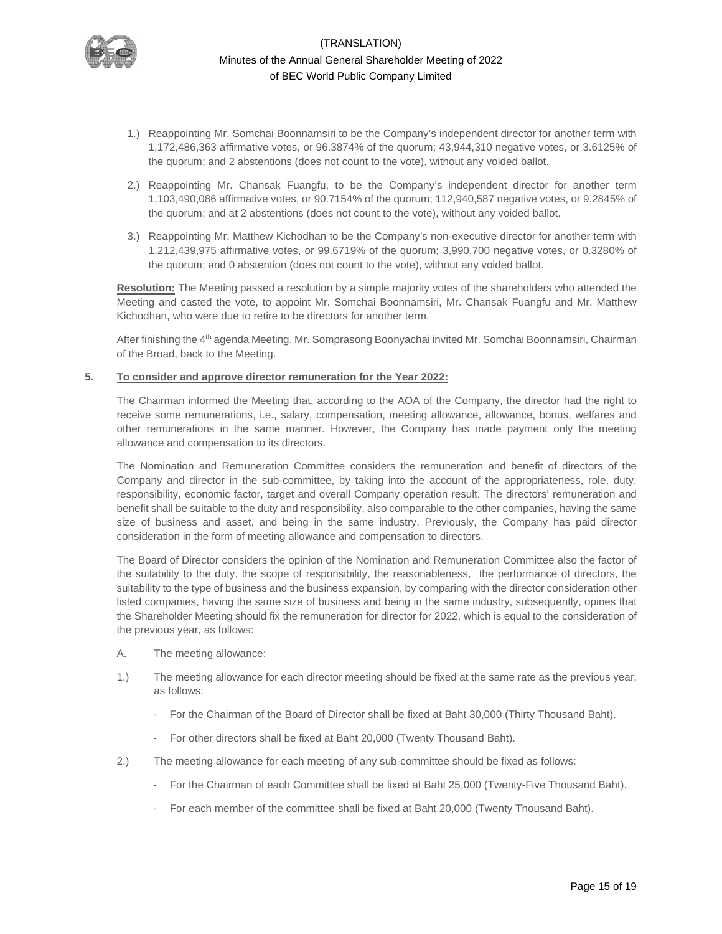

- 1.) Reappointing Mr. Somchai Boonnamsiri to be the Company's independent director for another term with 1,172,486,363 affirmative votes, or 96.3874% of the quorum; 43,944,310 negative votes, or 3.6125% of the quorum; and 2 abstentions (does not count to the vote), without any voided ballot.
- 2.) Reappointing Mr. Chansak Fuangfu, to be the Company's independent director for another term 1,103,490,086 affirmative votes, or 90.7154% of the quorum; 112,940,587 negative votes, or 9.2845% of the quorum; and at 2 abstentions (does not count to the vote), without any voided ballot.
- 3.) Reappointing Mr. Matthew Kichodhan to be the Company's non-executive director for another term with 1,212,439,975 affirmative votes, or 99.6719% of the quorum; 3,990,700 negative votes, or 0.3280% of the quorum; and 0 abstention (does not count to the vote), without any voided ballot.

**Resolution:** The Meeting passed a resolution by a simple majority votes of the shareholders who attended the Meeting and casted the vote, to appoint Mr. Somchai Boonnamsiri, Mr. Chansak Fuangfu and Mr. Matthew Kichodhan, who were due to retire to be directors for another term.

After finishing the 4th agenda Meeting, Mr. Somprasong Boonyachai invited Mr. Somchai Boonnamsiri, Chairman of the Broad, back to the Meeting.

### **5. To consider and approve director remuneration for the Year 2022:**

The Chairman informed the Meeting that, according to the AOA of the Company, the director had the right to receive some remunerations, i.e., salary, compensation, meeting allowance, allowance, bonus, welfares and other remunerations in the same manner. However, the Company has made payment only the meeting allowance and compensation to its directors.

The Nomination and Remuneration Committee considers the remuneration and benefit of directors of the Company and director in the sub-committee, by taking into the account of the appropriateness, role, duty, responsibility, economic factor, target and overall Company operation result. The directors' remuneration and benefit shall be suitable to the duty and responsibility, also comparable to the other companies, having the same size of business and asset, and being in the same industry. Previously, the Company has paid director consideration in the form of meeting allowance and compensation to directors.

The Board of Director considers the opinion of the Nomination and Remuneration Committee also the factor of the suitability to the duty, the scope of responsibility, the reasonableness, the performance of directors, the suitability to the type of business and the business expansion, by comparing with the director consideration other listed companies, having the same size of business and being in the same industry, subsequently, opines that the Shareholder Meeting should fix the remuneration for director for 2022, which is equal to the consideration of the previous year, as follows:

- A. The meeting allowance:
- 1.) The meeting allowance for each director meeting should be fixed at the same rate as the previous year, as follows:
	- For the Chairman of the Board of Director shall be fixed at Baht 30,000 (Thirty Thousand Baht).
	- For other directors shall be fixed at Baht 20,000 (Twenty Thousand Baht).
- 2.) The meeting allowance for each meeting of any sub-committee should be fixed as follows:
	- For the Chairman of each Committee shall be fixed at Baht 25,000 (Twenty-Five Thousand Baht).
	- For each member of the committee shall be fixed at Baht 20,000 (Twenty Thousand Baht).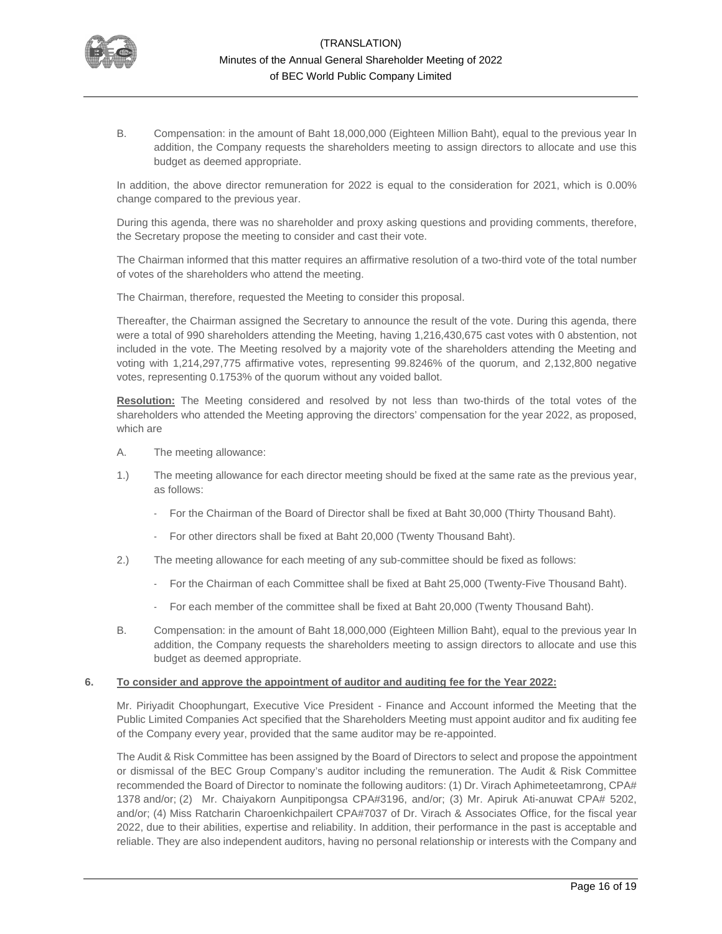

B. Compensation: in the amount of Baht 18,000,000 (Eighteen Million Baht), equal to the previous year In addition, the Company requests the shareholders meeting to assign directors to allocate and use this budget as deemed appropriate.

In addition, the above director remuneration for 2022 is equal to the consideration for 2021, which is 0.00% change compared to the previous year.

During this agenda, there was no shareholder and proxy asking questions and providing comments, therefore, the Secretary propose the meeting to consider and cast their vote.

The Chairman informed that this matter requires an affirmative resolution of a two-third vote of the total number of votes of the shareholders who attend the meeting.

The Chairman, therefore, requested the Meeting to consider this proposal.

Thereafter, the Chairman assigned the Secretary to announce the result of the vote. During this agenda, there were a total of 990 shareholders attending the Meeting, having 1,216,430,675 cast votes with 0 abstention, not included in the vote. The Meeting resolved by a majority vote of the shareholders attending the Meeting and voting with 1,214,297,775 affirmative votes, representing 99.8246% of the quorum, and 2,132,800 negative votes, representing 0.1753% of the quorum without any voided ballot.

**Resolution:** The Meeting considered and resolved by not less than two-thirds of the total votes of the shareholders who attended the Meeting approving the directors' compensation for the year 2022, as proposed, which are

- A. The meeting allowance:
- 1.) The meeting allowance for each director meeting should be fixed at the same rate as the previous year, as follows:
	- For the Chairman of the Board of Director shall be fixed at Baht 30,000 (Thirty Thousand Baht).
	- For other directors shall be fixed at Baht 20,000 (Twenty Thousand Baht).
- 2.) The meeting allowance for each meeting of any sub-committee should be fixed as follows:
	- For the Chairman of each Committee shall be fixed at Baht 25,000 (Twenty-Five Thousand Baht).
	- For each member of the committee shall be fixed at Baht 20,000 (Twenty Thousand Baht).
- B. Compensation: in the amount of Baht 18,000,000 (Eighteen Million Baht), equal to the previous year In addition, the Company requests the shareholders meeting to assign directors to allocate and use this budget as deemed appropriate.

### **6. To consider and approve the appointment of auditor and auditing fee for the Year 2022:**

Mr. Piriyadit Choophungart, Executive Vice President - Finance and Account informed the Meeting that the Public Limited Companies Act specified that the Shareholders Meeting must appoint auditor and fix auditing fee of the Company every year, provided that the same auditor may be re-appointed.

The Audit & Risk Committee has been assigned by the Board of Directors to select and propose the appointment or dismissal of the BEC Group Company's auditor including the remuneration. The Audit & Risk Committee recommended the Board of Director to nominate the following auditors: (1) Dr. Virach Aphimeteetamrong, CPA# 1378 and/or; (2) Mr. Chaiyakorn Aunpitipongsa CPA#3196, and/or; (3) Mr. Apiruk Ati-anuwat CPA# 5202, and/or; (4) Miss Ratcharin Charoenkichpailert CPA#7037 of Dr. Virach & Associates Office, for the fiscal year 2022, due to their abilities, expertise and reliability. In addition, their performance in the past is acceptable and reliable. They are also independent auditors, having no personal relationship or interests with the Company and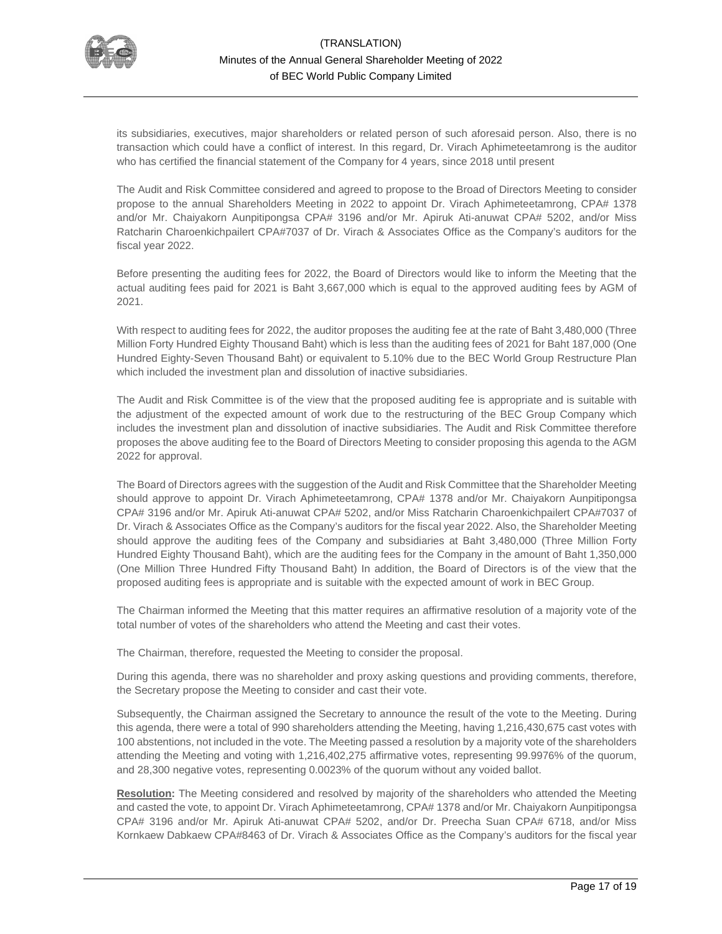

its subsidiaries, executives, major shareholders or related person of such aforesaid person. Also, there is no transaction which could have a conflict of interest. In this regard, Dr. Virach Aphimeteetamrong is the auditor who has certified the financial statement of the Company for 4 years, since 2018 until present

The Audit and Risk Committee considered and agreed to propose to the Broad of Directors Meeting to consider propose to the annual Shareholders Meeting in 2022 to appoint Dr. Virach Aphimeteetamrong, CPA# 1378 and/or Mr. Chaiyakorn Aunpitipongsa CPA# 3196 and/or Mr. Apiruk Ati-anuwat CPA# 5202, and/or Miss Ratcharin Charoenkichpailert CPA#7037 of Dr. Virach & Associates Office as the Company's auditors for the fiscal year 2022.

Before presenting the auditing fees for 2022, the Board of Directors would like to inform the Meeting that the actual auditing fees paid for 2021 is Baht 3,667,000 which is equal to the approved auditing fees by AGM of 2021.

With respect to auditing fees for 2022, the auditor proposes the auditing fee at the rate of Baht 3,480,000 (Three Million Forty Hundred Eighty Thousand Baht) which is less than the auditing fees of 2021 for Baht 187,000 (One Hundred Eighty-Seven Thousand Baht) or equivalent to 5.10% due to the BEC World Group Restructure Plan which included the investment plan and dissolution of inactive subsidiaries.

The Audit and Risk Committee is of the view that the proposed auditing fee is appropriate and is suitable with the adjustment of the expected amount of work due to the restructuring of the BEC Group Company which includes the investment plan and dissolution of inactive subsidiaries. The Audit and Risk Committee therefore proposes the above auditing fee to the Board of Directors Meeting to consider proposing this agenda to the AGM 2022 for approval.

The Board of Directors agrees with the suggestion of the Audit and Risk Committee that the Shareholder Meeting should approve to appoint Dr. Virach Aphimeteetamrong, CPA# 1378 and/or Mr. Chaiyakorn Aunpitipongsa CPA# 3196 and/or Mr. Apiruk Ati-anuwat CPA# 5202, and/or Miss Ratcharin Charoenkichpailert CPA#7037 of Dr. Virach & Associates Office as the Company's auditors for the fiscal year 2022. Also, the Shareholder Meeting should approve the auditing fees of the Company and subsidiaries at Baht 3,480,000 (Three Million Forty Hundred Eighty Thousand Baht), which are the auditing fees for the Company in the amount of Baht 1,350,000 (One Million Three Hundred Fifty Thousand Baht) In addition, the Board of Directors is of the view that the proposed auditing fees is appropriate and is suitable with the expected amount of work in BEC Group.

The Chairman informed the Meeting that this matter requires an affirmative resolution of a majority vote of the total number of votes of the shareholders who attend the Meeting and cast their votes.

The Chairman, therefore, requested the Meeting to consider the proposal.

During this agenda, there was no shareholder and proxy asking questions and providing comments, therefore, the Secretary propose the Meeting to consider and cast their vote.

Subsequently, the Chairman assigned the Secretary to announce the result of the vote to the Meeting. During this agenda, there were a total of 990 shareholders attending the Meeting, having 1,216,430,675 cast votes with 100 abstentions, not included in the vote. The Meeting passed a resolution by a majority vote of the shareholders attending the Meeting and voting with 1,216,402,275 affirmative votes, representing 99.9976% of the quorum, and 28,300 negative votes, representing 0.0023% of the quorum without any voided ballot.

**Resolution:** The Meeting considered and resolved by majority of the shareholders who attended the Meeting and casted the vote, to appoint Dr. Virach Aphimeteetamrong, CPA# 1378 and/or Mr. Chaiyakorn Aunpitipongsa CPA# 3196 and/or Mr. Apiruk Ati-anuwat CPA# 5202, and/or Dr. Preecha Suan CPA# 6718, and/or Miss Kornkaew Dabkaew CPA#8463 of Dr. Virach & Associates Office as the Company's auditors for the fiscal year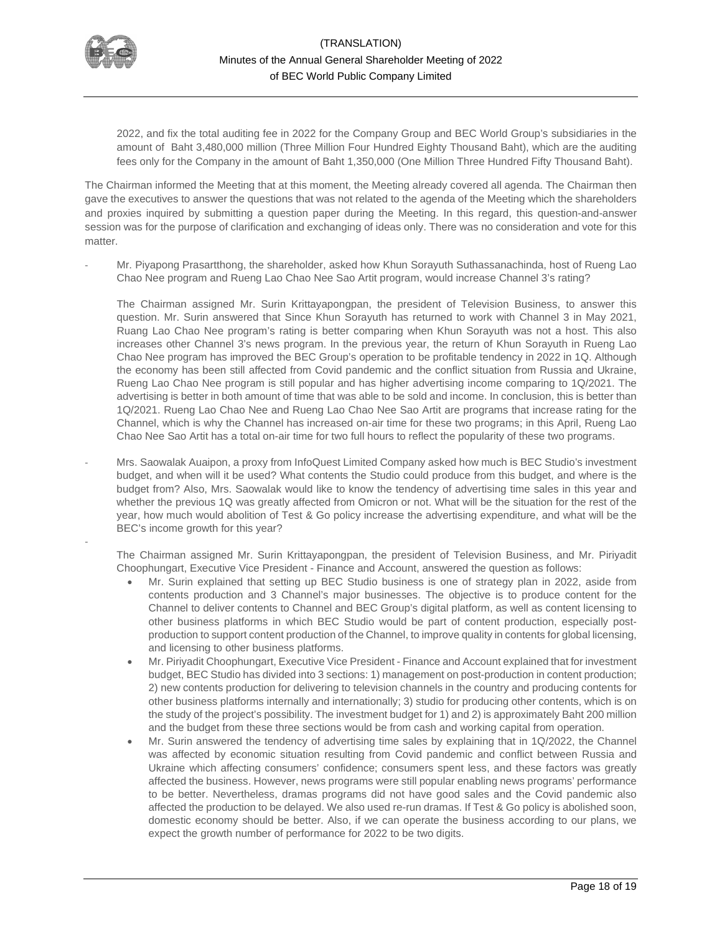

-

2022, and fix the total auditing fee in 2022 for the Company Group and BEC World Group's subsidiaries in the amount of Baht 3,480,000 million (Three Million Four Hundred Eighty Thousand Baht), which are the auditing fees only for the Company in the amount of Baht 1,350,000 (One Million Three Hundred Fifty Thousand Baht).

The Chairman informed the Meeting that at this moment, the Meeting already covered all agenda. The Chairman then gave the executives to answer the questions that was not related to the agenda of the Meeting which the shareholders and proxies inquired by submitting a question paper during the Meeting. In this regard, this question-and-answer session was for the purpose of clarification and exchanging of ideas only. There was no consideration and vote for this matter.

Mr. Piyapong Prasartthong, the shareholder, asked how Khun Sorayuth Suthassanachinda, host of Rueng Lao Chao Nee program and Rueng Lao Chao Nee Sao Artit program, would increase Channel 3's rating?

The Chairman assigned Mr. Surin Krittayapongpan, the president of Television Business, to answer this question. Mr. Surin answered that Since Khun Sorayuth has returned to work with Channel 3 in May 2021, Ruang Lao Chao Nee program's rating is better comparing when Khun Sorayuth was not a host. This also increases other Channel 3's news program. In the previous year, the return of Khun Sorayuth in Rueng Lao Chao Nee program has improved the BEC Group's operation to be profitable tendency in 2022 in 1Q. Although the economy has been still affected from Covid pandemic and the conflict situation from Russia and Ukraine, Rueng Lao Chao Nee program is still popular and has higher advertising income comparing to 1Q/2021. The advertising is better in both amount of time that was able to be sold and income. In conclusion, this is better than 1Q/2021. Rueng Lao Chao Nee and Rueng Lao Chao Nee Sao Artit are programs that increase rating for the Channel, which is why the Channel has increased on-air time for these two programs; in this April, Rueng Lao Chao Nee Sao Artit has a total on-air time for two full hours to reflect the popularity of these two programs.

- Mrs. Saowalak Auaipon, a proxy from InfoQuest Limited Company asked how much is BEC Studio's investment budget, and when will it be used? What contents the Studio could produce from this budget, and where is the budget from? Also, Mrs. Saowalak would like to know the tendency of advertising time sales in this year and whether the previous 1Q was greatly affected from Omicron or not. What will be the situation for the rest of the year, how much would abolition of Test & Go policy increase the advertising expenditure, and what will be the BEC's income growth for this year?

The Chairman assigned Mr. Surin Krittayapongpan, the president of Television Business, and Mr. Piriyadit Choophungart, Executive Vice President - Finance and Account, answered the question as follows:

- Mr. Surin explained that setting up BEC Studio business is one of strategy plan in 2022, aside from contents production and 3 Channel's major businesses. The objective is to produce content for the Channel to deliver contents to Channel and BEC Group's digital platform, as well as content licensing to other business platforms in which BEC Studio would be part of content production, especially postproduction to support content production of the Channel, to improve quality in contents for global licensing, and licensing to other business platforms.
- Mr. Piriyadit Choophungart, Executive Vice President Finance and Account explained that for investment budget, BEC Studio has divided into 3 sections: 1) management on post-production in content production; 2) new contents production for delivering to television channels in the country and producing contents for other business platforms internally and internationally; 3) studio for producing other contents, which is on the study of the project's possibility. The investment budget for 1) and 2) is approximately Baht 200 million and the budget from these three sections would be from cash and working capital from operation.
- Mr. Surin answered the tendency of advertising time sales by explaining that in 1Q/2022, the Channel was affected by economic situation resulting from Covid pandemic and conflict between Russia and Ukraine which affecting consumers' confidence; consumers spent less, and these factors was greatly affected the business. However, news programs were still popular enabling news programs' performance to be better. Nevertheless, dramas programs did not have good sales and the Covid pandemic also affected the production to be delayed. We also used re-run dramas. If Test & Go policy is abolished soon, domestic economy should be better. Also, if we can operate the business according to our plans, we expect the growth number of performance for 2022 to be two digits.